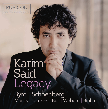

# Karim<br>Said<br>Legacy Byrd | Schoenberg<br>Morley | Tomkins | Bull | Webern | Brahms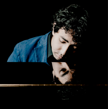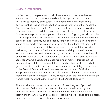### **LEGACY Introduction**

It is fascinating to explore ways in which composers influence each other, whether across generations or more directly through the master–pupil relationships that they often cultivate. The comparison of William Byrd's pervasive influences on the Elizabethan/Jacobean world with the impact that Arnold Schoenberg left on the 20th century, by Joseph Kerman, inspired my repertoire frame on this disk. I chose a selection of keyboard music, whether for the modern piano or the virginals of 16th-century England, to indulge in the astonishing versatility with which these instruments have been used across the centuries. Byrd, Tomkins, Bull and Morley simply couldn't have imagined the sound of our modern pianos today. However, I'd like to think that they would have loved it. To my ears, it establishes a convincing link with the sound of their string consort music (perhaps because of its ability to sustain a note for longer than a harpsichord), which was my own recent introduction to the world of Renaissance music as an ardent fan of the ensemble *Phantasm*. Its director, Laurence Dreyfus, has been the most inspiring of mentors throughout the different stages of this album's evolution; I could not have wished for a better guide in what is admittedly new territory for me as a pianist. My introduction to the Second Viennese School, on the other hand, came in 2009 when I was privileged enough to start touring Alban Berg's Chamber Concerto with members of the West-Eastern Divan Orchestra, under the leadership of one the world's most important authorities in this field, Daniel Barenboim.

This is an album about two musical masters, Schoenberg and Byrd, their disciples, and Brahms – a composer who forms a pivotal link in my mind between the Renaissance and the Second Viennese School. I recommend listening to the whole CD in one sitting to get the full experience of the different genres merging into a single through-composed recital.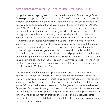# **Arnold Schoenberg (1874–1951) and William Byrd (c.1539–1623)**

Using the past as a springboard for the future is central to Schoenberg's Suite for solo piano op.25 (1923), which takes the form of a Baroque dance suite with a Brahmsian intermezzo in the middle. Although Neoclassicism as a style was relatively popular between the two World Wars (think of Stravinsky's *Pulcinella* from 1919–20), Schoenberg's particular evocation of it here is striking because this was in fact the first time he used his ground-breaking 'twelve-tone method' throughout a complete work. Although music students still to this day use Schoenberg's most important texts on tonal musical composition such as the 'Fundamentals of Musical Composition' and the 'Harmonielehre', noting his significant impact as a teacher, it is very surprising that he wrote so little about his twelve-tone method. We owe much of our understanding of the method to the writings of the next generation of composers who studied with him. Although Schoenberg's music has still not achieved popular fame, his influence on the next generation of composers, from Berg and Webern to Cage and even to Boulez in the second half the last century, was immense – not to mention the fact that a good number of film composers from Hollywood studied with him after his move to California in 1934.

It is not by chance that the recital programme on this CD ends with Byrd's *Fantasia* in A minor MB27 (Track 19) – one of his earliest works for keyboard – which invokes his own master, Thomas Tallis, as the main source of inspiration. In some sections Byrd reminds the listener of the gradual metric modulation found in the *Felix namque* for example – one of Tallis's greatest works for the keyboard. Otherwise, Byrd's work is freely composed with little systematic development of the material, the main exception being the introduction of a popular Elizabethan tune in G major about halfway through the piece. As with most Elizabethan fantasias, true to the literal definition of their titles, this work is an exploration of the composer's imagination.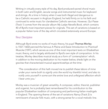Writing in virtually every style of his day, Byrd produced sacred choral music in both Latin and English, secular songs and instrumental music for keyboard and strings. At a time in history when it was both illegal and dangerous to be a Catholic recusant in Anglican England, he held firmly on to his faith and continued to write music for clandestine Catholic services. However, *Qui Passe* (Track 1) comes from the secular album *My Ladye Nevells Book,* which contains 40 of Byrd's most important pieces for virginals. This set of variations is based on a popular Italian tune of the day which circulated extensively around Europe.

# **Four Disciples**

Although Byrd wrote no works of music theory, his pupil Thomas Morley (c.1557–1602) penned the famous *A Plaine and Easie Introduction to Practicall Musicke* (1597), which serves as one of the most important texts on Elizabethan music theory, and is largely attributed to Byrd's own style of composition. In his treatise, Morley describes musical study as a form of 'contemplation' which, in addition to the moving dedication to his master below, sheds light on the gravitas that characterised musical apprenticeships at the time:

*'The consideration of this hath moved me to publish these labors of mine under your name both to signify unto the world my thankful mind, and also to notify unto yourself in some sort the entire love and unfeigned affection which I bear unto you.'*

Morley was a musician of great versatility. A composer, editor, theorist, publisher and organist, he is probably best remembered for his contribution to the popular Elizabethan tradition of composing and performing Italian madrigals in England. The opening theme of the set of variations *Nancy* (Track 2) is reminiscent of secular folk music, with a strong sense for a vocal melodic line.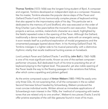Thomas Tomkins (1572–1656) was the longest living student of Byrd. A composer and organist, Tomkins developed an independent style as a composer. However, like his master, Tomkins elevates the popular dance steps of the *Pavan and Galliard* (Tracks 4 and 5) into harmonically complex pieces of keyboard writing that also appeal to the improvisatory style of his day. This particular set is dedicated to the memory of Lord Strafford, who was executed on the order of King Charles I just a few years before the monarch's own execution. The piece projects a serious, sombre, melancholic character as a result, highlighted by the fateful repeated notes in the opening of the Pavan. Although the Galliard, traditionally a dance marked by leaps and jumps, starts with an energetic swing, it soon reveals itself as a profound exploration of modal progressions and the ornamented passages layered above them. In his *Hunting Galliard* (Track 14), Tomkins indulges in a lighter side to his musical personality: with a distinctive rhythmic vitality that recalls traditional hunting scenes on horseback.

*Lord Lumley's Pavan* and *Galliard* (Tracks 7 and 8*)* by John Bull (c.1562–1628) is one of his most significant works. Known as one of the earliest composer– performer virtuosos, Bull dedicated much of his time to practising the art of keyboard playing to the highest level. The peaceful, yet also noble opening of the Pavan leads the way to the flowing passages in the variations that follow, after which come a sparkling and jubilant galliard.

As the entire composed output of Anton Webern (1883–1945) fits easily onto only three CDs, it's not surprising that, of all the composers in the so called Second Viennese School headed by Schoenberg, Webern produced the most concise individual works. Written almost as immediate applications of Schoenberg's main interest in the 1920s, the 'method of composing with twelve tones that are related only to one another', Webern's two pieces (Tracks 3 and 6) offer pristine examples of the cell-like gestures found in most of his music.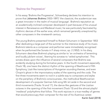### **'Brahms the Progressive'**

In his essay 'Brahms the Progressive', Schoenberg declares his intention to prove that Johannes Brahms (1833–1897) 'the classicist, the academician was a great innovator in the realm of musical language'. Brahms's reputation as an academically-inclined composer developed in part because of his unusual interest in Renaissance and Medieval music; he was particularly fascinated by rhythmic devices of the earlier eras, which remained generally unexplored by other composers in the nineteenth century.

The young Brahms presented himself to Robert Schumann in September 1853 after dedicating a large part of the summer to the intensive study of his music. Brahms's talents as a composer and performer were immediately recognised when he performed the Sonata in F sharp minor, op. 2 (1852). In his diary, Schumann describes Brahms's playing as similar to 'an orchestra of lamenting and loudly jubilant voices', likening his sonatas to 'veiled symphonies'. This sonata draws upon the influence of several composers that Brahms was evidently studying during his formative years. In the fourth movement especially (Track 18), one hears the distinct rhythm of the opening of Beethoven's Fifth Symphony, Liszt-like transcriptions of Hungarian sounding themes, and even Chopin's ghost in the improvisatory scales of the opening and the coda. The first three movements seem to nod in a subtle way to composers and styles on the periphery of Brahms's consciousness:, the methodical Beethovenian development of a popular German folk song *Mir ist Leide* in the second and third movements (Tracks 16 and 17), the dance-like gestures of the Lisztian octaves in the opening of the first movement (Track 15) and the almost playful 'medieval' polyrhythms that follow. This work rejoices in a true medley of genres that would preoccupy their composer for the rest of his illustrious career. Karim Said (2018)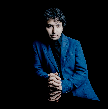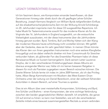# **LEGACY (VERMÄCHTNIS) Einleitung**

Ich bin fasziniert davon, wie Komponisten einander beeinflussen, ob über Generationen hinweg oder direkt durch die oft gepflegte Lehrer-Schüler-Beziehung. Joseph Kermans Vergleich von William Byrds tiefgreifendem Einfluss auf die elisabethanische/jakobinische Zeit mit der Wirkung Arnold Schönbergs im 20. Jahrhundert inspirierte mein für diese CD ausgewähltes Repertoire. Ich habe Musik für Tasteninstrumente sowohl für das moderne Klavier als für die Virginale des 16. Jahrhunderts in England ausgewählt, um die erstaunliche Vielseitigkeit auszukosten, mit der diese Instrumente über die Jahrhunderte hinweg genutzt wurden. Byrd, Tomkins, Bull und Morley hätten sich den Klang der modernen Klaviere heute schlichtweg nicht vorstellen können. Mit gefällt aber der Gedanke, dass sie ihn sehr geschätzt hätten. In meinen Ohren könnte das Klavier den von ihnen gespielten Instrumenten noch eine weitere Klangfarbe hinzugefügt und sie dabei vielleicht direkter mit ihrer Consortmusik für Streicher verbunden haben; als glühender Fan des Ensembles *Phantasm* habe ich diese Renaissance-Musik vor kurzem kennengelernt. Dank seinem Leiter Laurence Dreyfus, der in den verschiedenen Entstehungsphasen dieses Albums ein überaus anregender Mentor war, hätte ich mir keinen besseren Ratgeber in diesem für mich als Pianisten zugegeben neuen Bereich wünschen können. Die Zweite Wiener Schule lernte ich indes im Jahre 2009 kennen, als ich das Privileg hatte, Alban Bergs Kammerkonzert mit Musikern des West-Eastern Divan Orchestra unter der Leitung von Daniel Barenboim, einer der weltweit führenden Autoritäten in diesem Bereich, auf einer Tournee zu spielen.

Dies ist ein Album über zwei meisterhafte Komponisten, Schönberg und Byrd, ihre Schüler und Brahms – einen Komponisten, der eine wichtige Verbindung zwischen den beiden gegensätzlichen Welten darstellt. Ich empfehle, die ganze CD auf einmal zu hören: so kann man feststellen, wie sich die verschiedenen Zeitstile mittels eines bewusst zusammengestellten Recitals zu einem verbinden.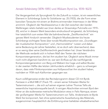# **Arnold Schönberg (1874–1951) und William Byrd (ca. 1539–1623)**

Die Vergangenheit als Sprungbrett für die Zukunft zu nutzen, ist ein wesentliches Element in Schönbergs Suite für Soloklavier op. 25 (1923), die die Form einer barocken Tanzsuite mit einem an Brahms erinnernden Intermezzo in der Mitte annimmt. Obgleich der Neoklassizismus in der Zeit zwischen den beiden Weltkriegen relativ beliebt war (man denke an Strawinskys *Pulcinella* von 1919– 20), wird er in diesem Werk besonders eindrucksvoll eingesetzt, da Schönberg hier tatsächlich zum ersten Mal die bahnbrechende "Zwölftontechnik" ein ganzes Werk hindurch verwendet. Obgleich Musikstudenten bis heute Schönbergs wichtigste Texte über tonale Musikkomposition wie "Grundlagen der musikalischen Komposition" und "Harmonielehre" nutzen und dabei seine Bedeutung als Lehrer feststellen, ist es doch sehr überraschend, dass er so wenig über seine Zwölftontechnik geschrieben hat. Unser Verständnis der Methode verdankt sich in hohem Maß den Texten der nächsten Komponistengeneration, die bei ihm studiert hat. Obgleich seine Musik immer noch nicht allgemein berühmt ist, war sein Einfluss auf die nachfolgende Komponistengeneration von Berg und Webern bis Cage und selbst Boulez in der zweiten Hälfte des letzten Jahrhunderts erheblich – ganz zu schweigen davon, dass viele Filmkomponisten aus Hollywood bei ihm studiert haben, nachdem er 1934 nach Kalifornien gegangen war.

Kaum zufälligerweise endet das Recitalprogramm dieser CD mit Byrds *Fantasie* in a-Moll MB 27 (Track 19) – einem seiner frühesten Werke für Tasteninstrument –, die sich auf seinen eigenen Lehrer Thomas Tallis als wesentliche Inspirationsquelle beruft. In einigen Abschnitten erinnert Byrd den Hörer an die stufenweise metrische Modulation etwa in *Felix Namque*, einem der großartigsten Werke für Tasteninstrument von Tallis. Andererseits ist Byrds Werk frei komponiert, fast ohne systematische Ausarbeitung des Materials, ausgenommen hauptsächlich die Einführung einer beliebten elisabethanischen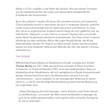Weise in G-Dur ungefähr in der Mitte des Stückes. Wie die meisten Fantasien aus der elisabethanischen Zeit zeigt auch dieses Werk (titelgemäß) die Einfallskraft des Komponisten.

Byrd, der praktisch in jedem Stil seiner Zeit schreiben konnte, schuf geistliche Chormusikwerke sowohl in lateinischer als auch in englischer Sprache, weltliche Lieder sowie Instrumentalmusik für Tasteninstrument und Streicher. Zu einer Zeit, als es im anglikanischen England sowohl illegal als auch gefährlich war, ein katholischer "Rekusant" zu sein, hielt er an seinem Glauben fest und schrieb weiter Musik für geheime katholische Gottesdienste. *Qui Passe* (Track 1) stammt allerdings aus dem weltlichen Album *My Ladye Nevells Booke*, das 40 der bedeutendsten Stücken für Virginal von Byrd enthält. Dieser Variationenzyklus basiert auf einer beliebten italienischen Melodie der Zeit, die überall in Europa verbreitet war.

# **Vier Schüler**

Während Byrd keine Werke zur Musiktheorie schrieb, verfasste sein Schüler Thomas Morley (ca.1557–1602) das berühmte Lehrwerk *A Plaine and Easie Introduction to Practicall Musicke (1597)*, einen der bedeutendsten Texte zur elisabethanischen Musiktheorie, der sich weitgehend mit Byrds Kompositionsstil befasst. Morley bezeichnet darin das Musikstudium als eine Form der "Kontemplation", womit zusätzlich zu der bewegenden Widmung an seinen Lehrer (s. u.) die für die damalige Musikausbildung bezeichnende Bedeutung hervorgehoben wird:

*"Diese Überlegung hat mich bewogen, meine Arbeiten unter Ihrem Namen zu veröffentlichen, um sowohl der Welt meine Dankbarkeit zu bezeigen als auch Ihnen selbst gewissermaßen meine ganze Liebe und echte Zuneigung für Sie zu verkünden."*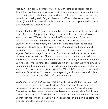Morley war ein sehr vielseitiger Musiker. Er war Komponist, Herausgeber, Theoretiker, Verleger sowie Organist und ist wohl besonders für seine Beiträge zu der beliebten elisabethanischen Tradition der Komposition und Aufführung italienischer Madrigale in England bekannt. Im Thema des Variationenzyklus *Nancy* (Track 2) klingt weltliche Volksmusik mit einem ausgeprägten Gespür für eine melodische Gesangslinie an.

Thomas Tomkins (1572–1656), einer von Byrds Schülern, erreichte ein besonders hohes Alter. Der Komponist und Organist entwickelte einen unabhängigen Kompositionsstil. Wie sein Lehrer erhöhte Tomkins jedoch in *Pavan and Galliard* (Tracks 4 und 5) die beliebten Tänze zu harmonisch komplexen Stücken für Tasteninstrument, die auch den Improvisationsstil seiner Zeit ansprachen. Dieses besondere Werk ist dem Gedenken an Lord Strafford gewidmet, der auf Befehl von König Charles I. nur wenige Jahre vor dessen eigener Exekution hingerichtet wurde. Das Stück entwirft also einen ernsten, düsteren, melancholischen Charakter, hervorgehoben durch die unheilvollen Tonwiederholungen am Beginn der Pavane. Die Galliarde, traditionell ein durch Sprünge gekennzeichneter Tanz, setzt zwar mit energischem Schwung ein, doch folgen bald tiefgründige modale Fortschreitungen und darüber geschichtete, verzierte Passagen. In seiner *Hunting Galliard* (Track 14) schwelgt Tomkins in der leichteren Seite seines Musikstiles: mit ausgeprägter rhythmischer Kraft, die an traditionelle Jagdszenen auf dem Pferderücken erinnert.

*Lord Lumley's Pavan and Galliard* (Tracks 7 und 8) von John Bull (ca.1562–1628) ist eines der bedeutendsten Werke dieses Komponisten. Der als einer der frühesten virtuosen Komponisten/Interpreten bekannte Bull wandte einen Großteil seiner Zeit daran, die Kunst des Tasteninstrumentspiels auf höchstem Niveau auszuüben. Der friedvolle, doch auch erhabene Beginn der Pavane leitet über zu den fließenden Passagen in den Variationen, an die sich eine glänzende und jubilierende Galliarde anschließt.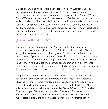Da das gesamte kompositorische Schaffen von Anton Webern (1883–1945) mühelos auf nur drei CDs passt, überrascht es nicht, dass er unter allen Komponisten der von Schönberg angeführten sogenannten *Zweiten Wiener Schule* Webern die knappsten Einzelwerke schuf. Die beiden Stücke von Webern in diesem Album (Tracks 3 und 6), die in fast unmittelbarer Anwendung von Schönbergs Hauptinteressengebiet in den 1920er Jahren, der Methode des Komponierens "mit zwölf nur aufeinander bezogenen Tönen", geschrieben wurden, bieten makellose Beispiele für die motivischen Zellen, die sich in den meisten seiner Kompositionen finden.

## **"Brahms der Fortschrittliche"**

In seinem Vortrag *Brahms der Fortschrittliche* erklärt Schönberg, er wolle beweisen, dass Johannes Brahms (1833-1897) "der Klassizist, der Akademische, ein großer Neuerer, ja tatsächlich ein großer Fortschrittler im Bereich der musikalischen Sprache war". Brahms' Ruf als akademisch geneigter Komponist entstand zum Teil wegen seines ungewöhnlichen Interesses für die Musik der Renaissance und des Mittelalters; er war besonders von den rhythmischen Einfällen in den früheren Epochen begeistert, die von anderen Komponisten im 19. Jahrhundert allgemein noch wenig untersucht worden waren.

Der junge Brahms stellte sich im September 1853 Robert Schumann vor, nachdem er einen Großteil des Sommers mit dem intensiven Studium der Musik Schumanns verbracht hatte. Brahms' Begabung als Komponist und Interpret wurde sofort gewürdigt, als er die Sonate in fis-Moll op. 2 (1852) spielte. Schumann schreibt in seinem Artikel *Neue Bahnen* (1853) über das Spiel des jungen Pianisten, der "aus dem Clavier ein Orchester von wehklagenden und lautjubelnden Stimmen machte. Es waren Sonaten, mehr verschleierte Symphonien". Diese Sonate ist von verschiedenen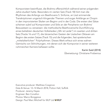Komponisten beeinflusst, die Brahms offensichtlich während seiner prägenden Jahre studiert hatte. Besonders im vierten Satz (Track 18) hört man die Rhythmen des Anfangs von Beethovens 5. Sinfonie, an Liszt erinnernde Transkriptionen ungarisch klingender Themen und sogar Anklänge an Chopin in den improvisierten Skalen am Beginn und in der Coda. Die ersten drei Sätze scheinen subtil auf Komponisten und Stile an der Peripherie von Brahms' Bewusstsein zu verweisen: die methodische Beethovensche Durchführung eines beliebten deutschen Volksliedes ("Mir ist Leide") im zweiten und dritten Satz (Tracks 16 und 17), die tänzerischen Gesten der Lisztschen Oktaven am Beginn des ersten Satzes (Track 15) und die folgenden, fast spielerischen "mittelalterlichen" Polyrhythmen. Dieses Werk erfreut sich eines wahren Gemischs von Stilrichtungen, mit denen sich der Komponist in seiner weiteren ruhmreichen Karriere befassen sollte.

> Karim Said (2018) Übersetzung: Christiane Frobenius

Executive producer: Matthew Cosgrove Date & Venue: 12–14 March 2018, Potton Hall, Suffolk Producer: Jeremy Hayes Engineer: Ben Conallon Photos: Marco Borggreve Design: Paul Marc Mitchell for WLP Ltd WWLP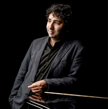